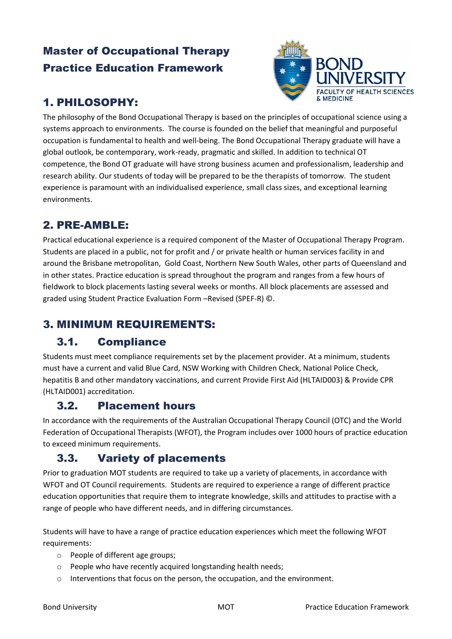## Master of Occupational Therapy Practice Education Framework



# 1. PHILOSOPHY:

The philosophy of the Bond Occupational Therapy is based on the principles of occupational science using a systems approach to environments. The course is founded on the belief that meaningful and purposeful occupation is fundamental to health and well-being. The Bond Occupational Therapy graduate will have a global outlook, be contemporary, work-ready, pragmatic and skilled. In addition to technical OT competence, the Bond OT graduate will have strong business acumen and professionalism, leadership and research ability. Our students of today will be prepared to be the therapists of tomorrow. The student experience is paramount with an individualised experience, small class sizes, and exceptional learning environments.

### 2. PRE-AMBLE:

Practical educational experience is a required component of the Master of Occupational Therapy Program. Students are placed in a public, not for profit and / or private health or human services facility in and around the Brisbane metropolitan, Gold Coast, Northern New South Wales, other parts of Queensland and in other states. Practice education is spread throughout the program and ranges from a few hours of fieldwork to block placements lasting several weeks or months. All block placements are assessed and graded using Student Practice Evaluation Form –Revised (SPEF-R) ©.

## 3. MINIMUM REQUIREMENTS:

### 3.1. Compliance

Students must meet compliance requirements set by the placement provider. At a minimum, students must have a current and valid Blue Card, NSW Working with Children Check, National Police Check, hepatitis B and other mandatory vaccinations, and current Provide First Aid (HLTAID003) & Provide CPR (HLTAID001) accreditation.

#### 3.2. Placement hours

In accordance with the requirements of the Australian Occupational Therapy Council (OTC) and the World Federation of Occupational Therapists (WFOT), the Program includes over 1000 hours of practice education to exceed minimum requirements.

### 3.3. Variety of placements

Prior to graduation MOT students are required to take up a variety of placements, in accordance with WFOT and OT Council requirements. Students are required to experience a range of different practice education opportunities that require them to integrate knowledge, skills and attitudes to practise with a range of people who have different needs, and in differing circumstances.

Students will have to have a range of practice education experiences which meet the following WFOT requirements:

- o People of different age groups;
- o People who have recently acquired longstanding health needs;
- o Interventions that focus on the person, the occupation, and the environment.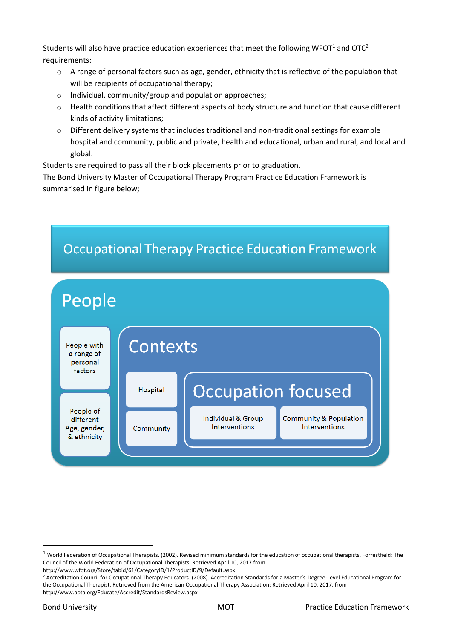Students will also have practice education experiences that meet the following WFOT<sup>1</sup> and OTC<sup>2</sup> requirements:

- o A range of personal factors such as age, gender, ethnicity that is reflective of the population that will be recipients of occupational therapy;
- o Individual, community/group and population approaches;
- o Health conditions that affect different aspects of body structure and function that cause different kinds of activity limitations;
- o Different delivery systems that includes traditional and non-traditional settings for example hospital and community, public and private, health and educational, urban and rural, and local and global.

Students are required to pass all their block placements prior to graduation.

The Bond University Master of Occupational Therapy Program Practice Education Framework is summarised in figure below;



http://www.wfot.org/Store/tabid/61/CategoryID/1/ProductID/9/Default.aspx

**.** 

 $1$  World Federation of Occupational Therapists. (2002). Revised minimum standards for the education of occupational therapists. Forrestfield: The Council of the World Federation of Occupational Therapists. Retrieved April 10, 2017 from

<sup>&</sup>lt;sup>2</sup> Accreditation Council for Occupational Therapy Educators. (2008). Accreditation Standards for a Master's-Degree-Level Educational Program for the Occupational Therapist. Retrieved from the American Occupational Therapy Association: Retrieved April 10, 2017, from http://www.aota.org/Educate/Accredit/StandardsReview.aspx